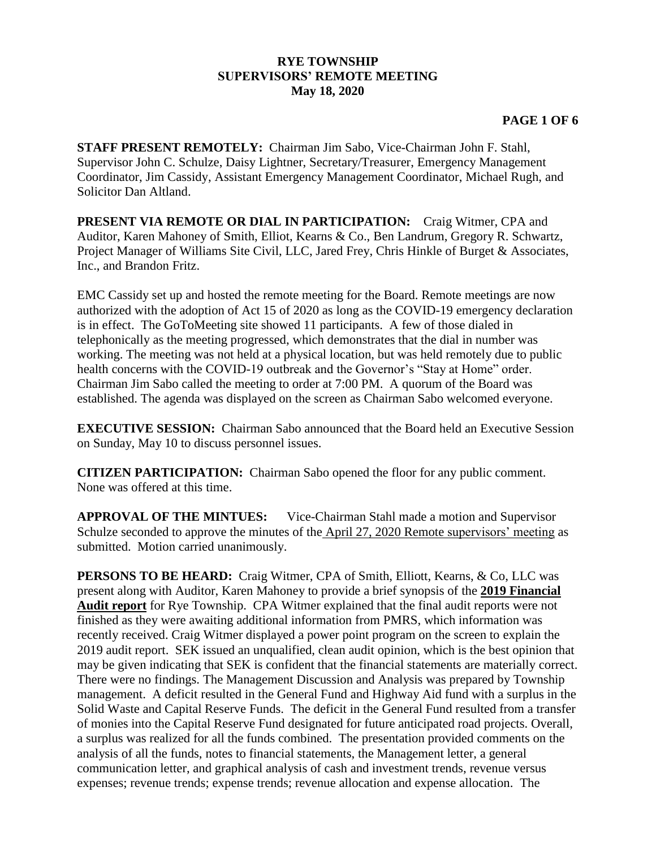## **RYE TOWNSHIP SUPERVISORS' REMOTE MEETING May 18, 2020**

## **PAGE 1 OF 6**

**STAFF PRESENT REMOTELY:** Chairman Jim Sabo, Vice-Chairman John F. Stahl, Supervisor John C. Schulze, Daisy Lightner, Secretary/Treasurer, Emergency Management Coordinator, Jim Cassidy, Assistant Emergency Management Coordinator, Michael Rugh, and Solicitor Dan Altland.

**PRESENT VIA REMOTE OR DIAL IN PARTICIPATION:** Craig Witmer, CPA and Auditor, Karen Mahoney of Smith, Elliot, Kearns & Co., Ben Landrum, Gregory R. Schwartz, Project Manager of Williams Site Civil, LLC, Jared Frey, Chris Hinkle of Burget & Associates, Inc., and Brandon Fritz.

EMC Cassidy set up and hosted the remote meeting for the Board. Remote meetings are now authorized with the adoption of Act 15 of 2020 as long as the COVID-19 emergency declaration is in effect. The GoToMeeting site showed 11 participants. A few of those dialed in telephonically as the meeting progressed, which demonstrates that the dial in number was working. The meeting was not held at a physical location, but was held remotely due to public health concerns with the COVID-19 outbreak and the Governor's "Stay at Home" order. Chairman Jim Sabo called the meeting to order at 7:00 PM. A quorum of the Board was established. The agenda was displayed on the screen as Chairman Sabo welcomed everyone.

**EXECUTIVE SESSION:** Chairman Sabo announced that the Board held an Executive Session on Sunday, May 10 to discuss personnel issues.

**CITIZEN PARTICIPATION:** Chairman Sabo opened the floor for any public comment. None was offered at this time.

**APPROVAL OF THE MINTUES:** Vice-Chairman Stahl made a motion and Supervisor Schulze seconded to approve the minutes of the April 27, 2020 Remote supervisors' meeting as submitted. Motion carried unanimously.

**PERSONS TO BE HEARD:** Craig Witmer, CPA of Smith, Elliott, Kearns, & Co, LLC was present along with Auditor, Karen Mahoney to provide a brief synopsis of the **2019 Financial Audit report** for Rye Township. CPA Witmer explained that the final audit reports were not finished as they were awaiting additional information from PMRS, which information was recently received. Craig Witmer displayed a power point program on the screen to explain the 2019 audit report. SEK issued an unqualified, clean audit opinion, which is the best opinion that may be given indicating that SEK is confident that the financial statements are materially correct. There were no findings. The Management Discussion and Analysis was prepared by Township management. A deficit resulted in the General Fund and Highway Aid fund with a surplus in the Solid Waste and Capital Reserve Funds. The deficit in the General Fund resulted from a transfer of monies into the Capital Reserve Fund designated for future anticipated road projects. Overall, a surplus was realized for all the funds combined. The presentation provided comments on the analysis of all the funds, notes to financial statements, the Management letter, a general communication letter, and graphical analysis of cash and investment trends, revenue versus expenses; revenue trends; expense trends; revenue allocation and expense allocation. The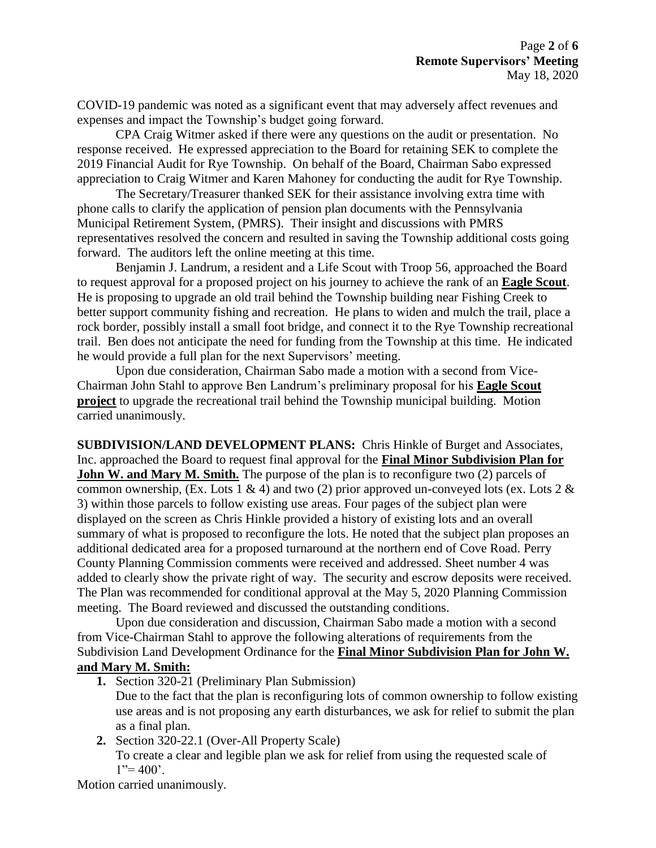COVID-19 pandemic was noted as a significant event that may adversely affect revenues and expenses and impact the Township's budget going forward.

CPA Craig Witmer asked if there were any questions on the audit or presentation. No response received. He expressed appreciation to the Board for retaining SEK to complete the 2019 Financial Audit for Rye Township. On behalf of the Board, Chairman Sabo expressed appreciation to Craig Witmer and Karen Mahoney for conducting the audit for Rye Township.

The Secretary/Treasurer thanked SEK for their assistance involving extra time with phone calls to clarify the application of pension plan documents with the Pennsylvania Municipal Retirement System, (PMRS). Their insight and discussions with PMRS representatives resolved the concern and resulted in saving the Township additional costs going forward. The auditors left the online meeting at this time.

Benjamin J. Landrum, a resident and a Life Scout with Troop 56, approached the Board to request approval for a proposed project on his journey to achieve the rank of an **Eagle Scout**. He is proposing to upgrade an old trail behind the Township building near Fishing Creek to better support community fishing and recreation. He plans to widen and mulch the trail, place a rock border, possibly install a small foot bridge, and connect it to the Rye Township recreational trail. Ben does not anticipate the need for funding from the Township at this time. He indicated he would provide a full plan for the next Supervisors' meeting.

Upon due consideration, Chairman Sabo made a motion with a second from Vice-Chairman John Stahl to approve Ben Landrum's preliminary proposal for his **Eagle Scout project** to upgrade the recreational trail behind the Township municipal building. Motion carried unanimously.

**SUBDIVISION/LAND DEVELOPMENT PLANS:** Chris Hinkle of Burget and Associates, Inc. approached the Board to request final approval for the **Final Minor Subdivision Plan for John W. and Mary M. Smith.** The purpose of the plan is to reconfigure two (2) parcels of common ownership, (Ex. Lots 1 & 4) and two (2) prior approved un-conveyed lots (ex. Lots 2  $\&$ 3) within those parcels to follow existing use areas. Four pages of the subject plan were displayed on the screen as Chris Hinkle provided a history of existing lots and an overall summary of what is proposed to reconfigure the lots. He noted that the subject plan proposes an additional dedicated area for a proposed turnaround at the northern end of Cove Road. Perry County Planning Commission comments were received and addressed. Sheet number 4 was added to clearly show the private right of way. The security and escrow deposits were received. The Plan was recommended for conditional approval at the May 5, 2020 Planning Commission meeting. The Board reviewed and discussed the outstanding conditions.

Upon due consideration and discussion, Chairman Sabo made a motion with a second from Vice-Chairman Stahl to approve the following alterations of requirements from the Subdivision Land Development Ordinance for the **Final Minor Subdivision Plan for John W. and Mary M. Smith:**

**1.** Section 320-21 (Preliminary Plan Submission)

Due to the fact that the plan is reconfiguring lots of common ownership to follow existing use areas and is not proposing any earth disturbances, we ask for relief to submit the plan as a final plan.

**2.** Section 320-22.1 (Over-All Property Scale)

To create a clear and legible plan we ask for relief from using the requested scale of  $1"=400"$ .

Motion carried unanimously.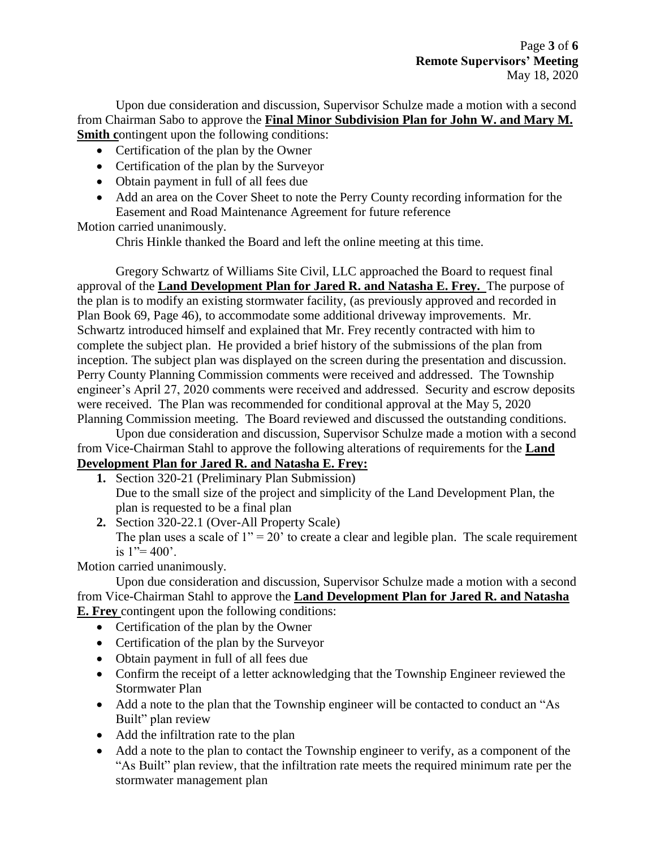Upon due consideration and discussion, Supervisor Schulze made a motion with a second from Chairman Sabo to approve the **Final Minor Subdivision Plan for John W. and Mary M. Smith** contingent upon the following conditions:

- Certification of the plan by the Owner
- Certification of the plan by the Surveyor
- Obtain payment in full of all fees due
- Add an area on the Cover Sheet to note the Perry County recording information for the Easement and Road Maintenance Agreement for future reference

Motion carried unanimously.

Chris Hinkle thanked the Board and left the online meeting at this time.

Gregory Schwartz of Williams Site Civil, LLC approached the Board to request final approval of the **Land Development Plan for Jared R. and Natasha E. Frey.** The purpose of the plan is to modify an existing stormwater facility, (as previously approved and recorded in Plan Book 69, Page 46), to accommodate some additional driveway improvements. Mr. Schwartz introduced himself and explained that Mr. Frey recently contracted with him to complete the subject plan. He provided a brief history of the submissions of the plan from inception. The subject plan was displayed on the screen during the presentation and discussion. Perry County Planning Commission comments were received and addressed. The Township engineer's April 27, 2020 comments were received and addressed. Security and escrow deposits were received. The Plan was recommended for conditional approval at the May 5, 2020 Planning Commission meeting. The Board reviewed and discussed the outstanding conditions.

Upon due consideration and discussion, Supervisor Schulze made a motion with a second from Vice-Chairman Stahl to approve the following alterations of requirements for the **Land Development Plan for Jared R. and Natasha E. Frey:**

- **1.** Section 320-21 (Preliminary Plan Submission) Due to the small size of the project and simplicity of the Land Development Plan, the plan is requested to be a final plan
- **2.** Section 320-22.1 (Over-All Property Scale) The plan uses a scale of  $1'' = 20'$  to create a clear and legible plan. The scale requirement is  $1"=400'$ .

Motion carried unanimously.

Upon due consideration and discussion, Supervisor Schulze made a motion with a second from Vice-Chairman Stahl to approve the **Land Development Plan for Jared R. and Natasha E. Frey** contingent upon the following conditions:

- Certification of the plan by the Owner
- Certification of the plan by the Surveyor
- Obtain payment in full of all fees due
- Confirm the receipt of a letter acknowledging that the Township Engineer reviewed the Stormwater Plan
- Add a note to the plan that the Township engineer will be contacted to conduct an "As Built" plan review
- Add the infiltration rate to the plan
- Add a note to the plan to contact the Township engineer to verify, as a component of the "As Built" plan review, that the infiltration rate meets the required minimum rate per the stormwater management plan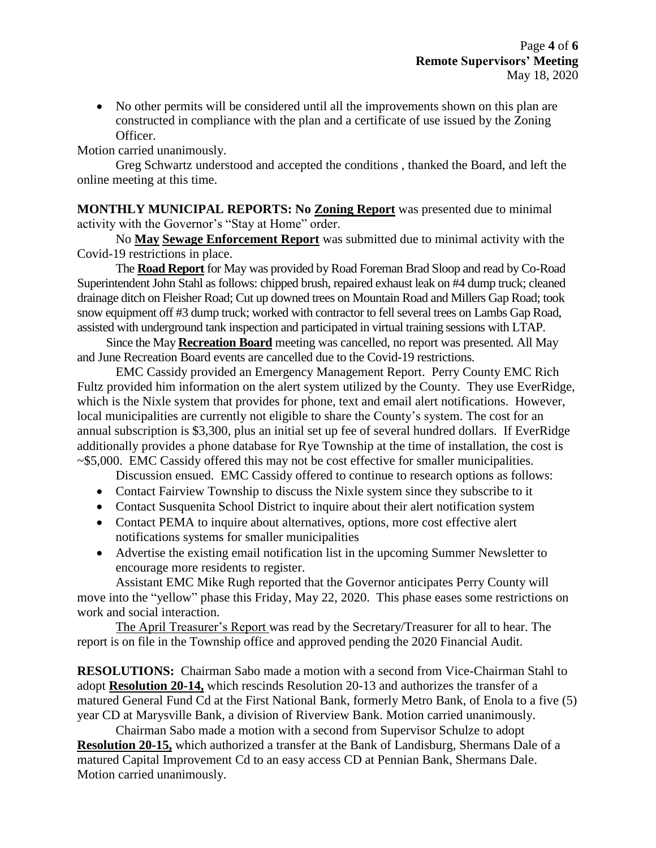• No other permits will be considered until all the improvements shown on this plan are constructed in compliance with the plan and a certificate of use issued by the Zoning Officer.

Motion carried unanimously.

Greg Schwartz understood and accepted the conditions , thanked the Board, and left the online meeting at this time.

**MONTHLY MUNICIPAL REPORTS: No Zoning Report** was presented due to minimal activity with the Governor's "Stay at Home" order.

No **May Sewage Enforcement Report** was submitted due to minimal activity with the Covid-19 restrictions in place.

The **Road Report** for May was provided by Road Foreman Brad Sloop and read by Co-Road Superintendent John Stahl as follows: chipped brush, repaired exhaust leak on #4 dump truck; cleaned drainage ditch on Fleisher Road; Cut up downed trees on Mountain Road and Millers Gap Road; took snow equipment off #3 dump truck; worked with contractor to fell several trees on Lambs Gap Road, assisted with underground tank inspection and participated in virtual training sessions with LTAP.

Since the May **Recreation Board** meeting was cancelled, no report was presented. All May and June Recreation Board events are cancelled due to the Covid-19 restrictions.

EMC Cassidy provided an Emergency Management Report. Perry County EMC Rich Fultz provided him information on the alert system utilized by the County. They use EverRidge, which is the Nixle system that provides for phone, text and email alert notifications. However, local municipalities are currently not eligible to share the County's system. The cost for an annual subscription is \$3,300, plus an initial set up fee of several hundred dollars. If EverRidge additionally provides a phone database for Rye Township at the time of installation, the cost is ~\$5,000. EMC Cassidy offered this may not be cost effective for smaller municipalities.

Discussion ensued. EMC Cassidy offered to continue to research options as follows:

- Contact Fairview Township to discuss the Nixle system since they subscribe to it
- Contact Susquenita School District to inquire about their alert notification system
- Contact PEMA to inquire about alternatives, options, more cost effective alert notifications systems for smaller municipalities
- Advertise the existing email notification list in the upcoming Summer Newsletter to encourage more residents to register.

Assistant EMC Mike Rugh reported that the Governor anticipates Perry County will move into the "yellow" phase this Friday, May 22, 2020. This phase eases some restrictions on work and social interaction.

The April Treasurer's Report was read by the Secretary/Treasurer for all to hear. The report is on file in the Township office and approved pending the 2020 Financial Audit.

**RESOLUTIONS:** Chairman Sabo made a motion with a second from Vice-Chairman Stahl to adopt **Resolution 20-14,** which rescinds Resolution 20-13 and authorizes the transfer of a matured General Fund Cd at the First National Bank, formerly Metro Bank, of Enola to a five (5) year CD at Marysville Bank, a division of Riverview Bank. Motion carried unanimously.

Chairman Sabo made a motion with a second from Supervisor Schulze to adopt **Resolution 20-15,** which authorized a transfer at the Bank of Landisburg, Shermans Dale of a matured Capital Improvement Cd to an easy access CD at Pennian Bank, Shermans Dale. Motion carried unanimously.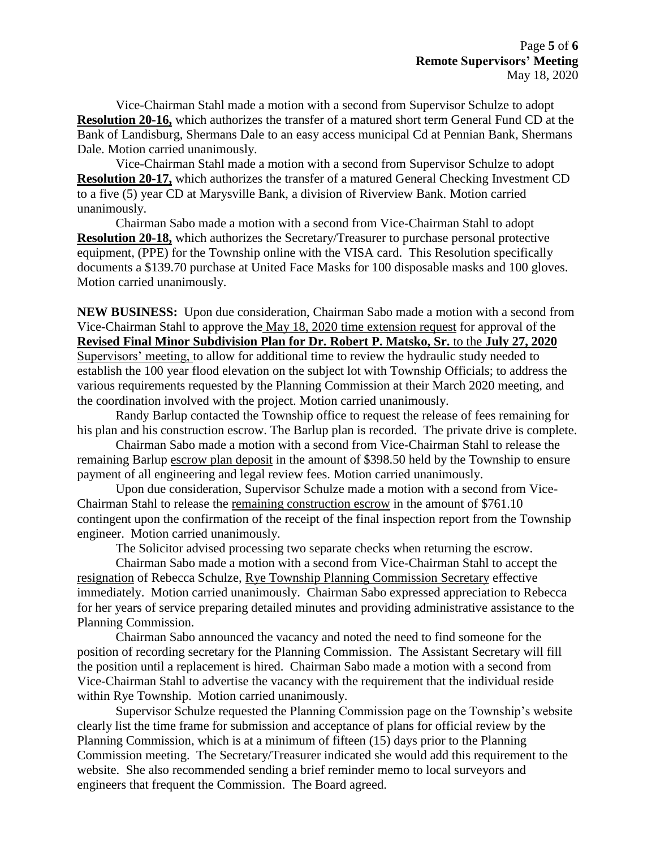Vice-Chairman Stahl made a motion with a second from Supervisor Schulze to adopt **Resolution 20-16,** which authorizes the transfer of a matured short term General Fund CD at the Bank of Landisburg, Shermans Dale to an easy access municipal Cd at Pennian Bank, Shermans Dale. Motion carried unanimously.

Vice-Chairman Stahl made a motion with a second from Supervisor Schulze to adopt **Resolution 20-17,** which authorizes the transfer of a matured General Checking Investment CD to a five (5) year CD at Marysville Bank, a division of Riverview Bank. Motion carried unanimously.

Chairman Sabo made a motion with a second from Vice-Chairman Stahl to adopt **Resolution 20-18,** which authorizes the Secretary/Treasurer to purchase personal protective equipment, (PPE) for the Township online with the VISA card. This Resolution specifically documents a \$139.70 purchase at United Face Masks for 100 disposable masks and 100 gloves. Motion carried unanimously.

**NEW BUSINESS:** Upon due consideration, Chairman Sabo made a motion with a second from Vice-Chairman Stahl to approve the May 18, 2020 time extension request for approval of the **Revised Final Minor Subdivision Plan for Dr. Robert P. Matsko, Sr.** to the **July 27, 2020** Supervisors' meeting, to allow for additional time to review the hydraulic study needed to establish the 100 year flood elevation on the subject lot with Township Officials; to address the various requirements requested by the Planning Commission at their March 2020 meeting, and the coordination involved with the project. Motion carried unanimously.

Randy Barlup contacted the Township office to request the release of fees remaining for his plan and his construction escrow. The Barlup plan is recorded. The private drive is complete.

Chairman Sabo made a motion with a second from Vice-Chairman Stahl to release the remaining Barlup escrow plan deposit in the amount of \$398.50 held by the Township to ensure payment of all engineering and legal review fees. Motion carried unanimously.

Upon due consideration, Supervisor Schulze made a motion with a second from Vice-Chairman Stahl to release the remaining construction escrow in the amount of \$761.10 contingent upon the confirmation of the receipt of the final inspection report from the Township engineer. Motion carried unanimously.

The Solicitor advised processing two separate checks when returning the escrow.

Chairman Sabo made a motion with a second from Vice-Chairman Stahl to accept the resignation of Rebecca Schulze, Rye Township Planning Commission Secretary effective immediately. Motion carried unanimously. Chairman Sabo expressed appreciation to Rebecca for her years of service preparing detailed minutes and providing administrative assistance to the Planning Commission.

Chairman Sabo announced the vacancy and noted the need to find someone for the position of recording secretary for the Planning Commission. The Assistant Secretary will fill the position until a replacement is hired. Chairman Sabo made a motion with a second from Vice-Chairman Stahl to advertise the vacancy with the requirement that the individual reside within Rye Township. Motion carried unanimously.

Supervisor Schulze requested the Planning Commission page on the Township's website clearly list the time frame for submission and acceptance of plans for official review by the Planning Commission, which is at a minimum of fifteen (15) days prior to the Planning Commission meeting. The Secretary/Treasurer indicated she would add this requirement to the website. She also recommended sending a brief reminder memo to local surveyors and engineers that frequent the Commission. The Board agreed.